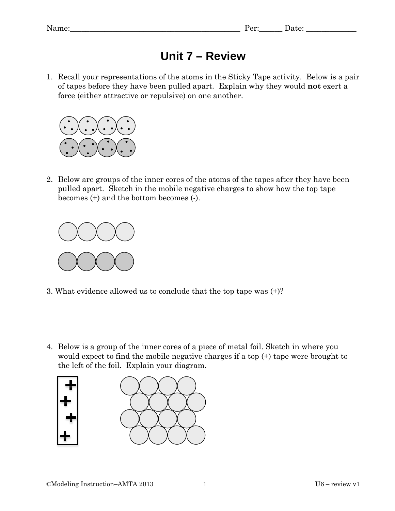## **Unit 7 – Review**

1. Recall your representations of the atoms in the Sticky Tape activity. Below is a pair of tapes before they have been pulled apart. Explain why they would **not** exert a force (either attractive or repulsive) on one another.



2. Below are groups of the inner cores of the atoms of the tapes after they have been pulled apart. Sketch in the mobile negative charges to show how the top tape becomes (+) and the bottom becomes (-).



- 3. What evidence allowed us to conclude that the top tape was (+)?
- 4. Below is a group of the inner cores of a piece of metal foil. Sketch in where you would expect to find the mobile negative charges if a top (+) tape were brought to the left of the foil. Explain your diagram.

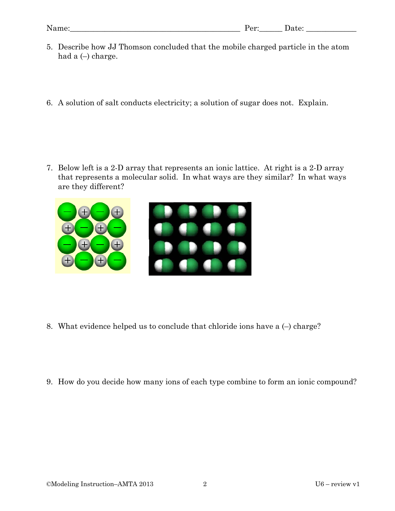- 5. Describe how JJ Thomson concluded that the mobile charged particle in the atom had a  $(-)$  charge.
- 6. A solution of salt conducts electricity; a solution of sugar does not. Explain.

7. Below left is a 2-D array that represents an ionic lattice. At right is a 2-D array that represents a molecular solid. In what ways are they similar? In what ways are they different?



- 8. What evidence helped us to conclude that chloride ions have a (–) charge?
- 9. How do you decide how many ions of each type combine to form an ionic compound?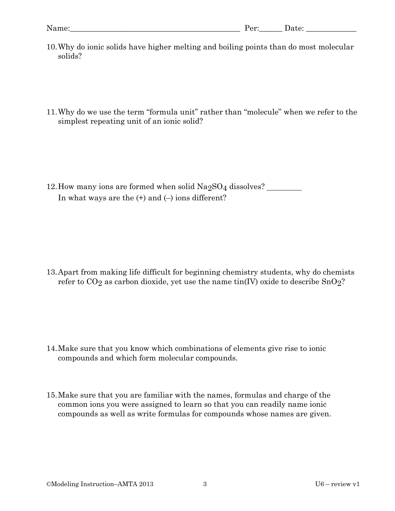- 10.Why do ionic solids have higher melting and boiling points than do most molecular solids?
- 11.Why do we use the term "formula unit" rather than "molecule" when we refer to the simplest repeating unit of an ionic solid?

12. How many ions are formed when solid  $\text{Na}_2\text{SO}_4$  dissolves? In what ways are the  $(+)$  and  $(-)$  ions different?

13.Apart from making life difficult for beginning chemistry students, why do chemists refer to  $CO<sub>2</sub>$  as carbon dioxide, yet use the name tin(IV) oxide to describe  $SnO<sub>2</sub>$ ?

- 14.Make sure that you know which combinations of elements give rise to ionic compounds and which form molecular compounds.
- 15.Make sure that you are familiar with the names, formulas and charge of the common ions you were assigned to learn so that you can readily name ionic compounds as well as write formulas for compounds whose names are given.